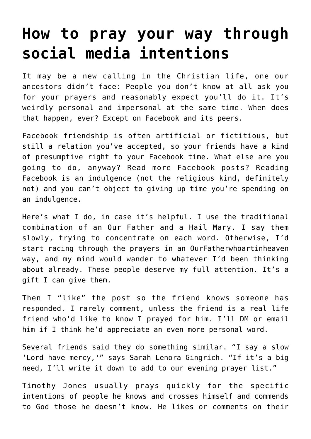## **[How to pray your way through](https://www.osvnews.com/2021/12/01/how-to-pray-your-way-through-social-media-intentions/) [social media intentions](https://www.osvnews.com/2021/12/01/how-to-pray-your-way-through-social-media-intentions/)**

It may be a new calling in the Christian life, one our ancestors didn't face: People you don't know at all ask you for your prayers and reasonably expect you'll do it. It's weirdly personal and impersonal at the same time. When does that happen, ever? Except on Facebook and its peers.

Facebook friendship is often artificial or fictitious, but still a relation you've accepted, so your friends have a kind of presumptive right to your Facebook time. What else are you going to do, anyway? Read more Facebook posts? Reading Facebook is an indulgence (not the religious kind, definitely not) and you can't object to giving up time you're spending on an indulgence.

Here's what I do, in case it's helpful. I use the traditional combination of an Our Father and a Hail Mary. I say them slowly, trying to concentrate on each word. Otherwise, I'd start racing through the prayers in an OurFatherwhoartinheaven way, and my mind would wander to whatever I'd been thinking about already. These people deserve my full attention. It's a gift I can give them.

Then I "like" the post so the friend knows someone has responded. I rarely comment, unless the friend is a real life friend who'd like to know I prayed for him. I'll DM or email him if I think he'd appreciate an even more personal word.

Several friends said they do something similar. "I say a slow 'Lord have mercy,'" says Sarah Lenora Gingrich. "If it's a big need, I'll write it down to add to our evening prayer list."

Timothy Jones usually prays quickly for the specific intentions of people he knows and crosses himself and commends to God those he doesn't know. He likes or comments on their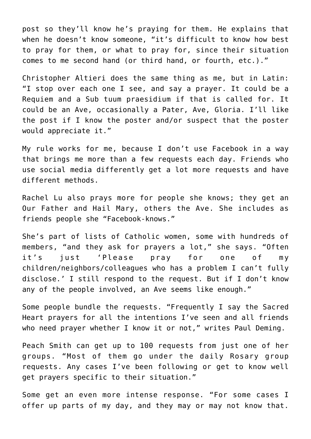post so they'll know he's praying for them. He explains that when he doesn't know someone, "it's difficult to know how best to pray for them, or what to pray for, since their situation comes to me second hand (or third hand, or fourth, etc.)."

Christopher Altieri does the same thing as me, but in Latin: "I stop over each one I see, and say a prayer. It could be a Requiem and a Sub tuum praesidium if that is called for. It could be an Ave, occasionally a Pater, Ave, Gloria. I'll like the post if I know the poster and/or suspect that the poster would appreciate it."

My rule works for me, because I don't use Facebook in a way that brings me more than a few requests each day. Friends who use social media differently get a lot more requests and have different methods.

Rachel Lu also prays more for people she knows; they get an Our Father and Hail Mary, others the Ave. She includes as friends people she "Facebook-knows."

She's part of lists of Catholic women, some with hundreds of members, "and they ask for prayers a lot," she says. "Often it's just 'Please pray for one of my children/neighbors/colleagues who has a problem I can't fully disclose.' I still respond to the request. But if I don't know any of the people involved, an Ave seems like enough."

Some people bundle the requests. "Frequently I say the Sacred Heart prayers for all the intentions I've seen and all friends who need prayer whether I know it or not," writes Paul Deming.

Peach Smith can get up to 100 requests from just one of her groups. "Most of them go under the daily Rosary group requests. Any cases I've been following or get to know well get prayers specific to their situation."

Some get an even more intense response. "For some cases I offer up parts of my day, and they may or may not know that.